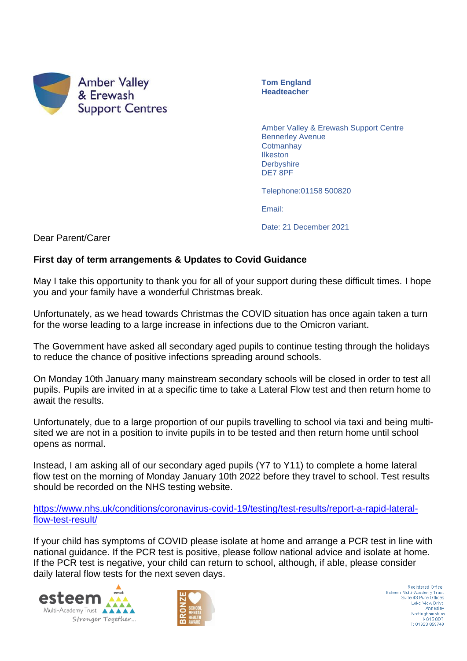

**Tom England Headteacher**

Amber Valley & Erewash Support Centre Bennerley Avenue **Cotmanhay** Ilkeston **Derbyshire** DE7 8PF

Telephone:01158 500820

Email:

Date: 21 December 2021

Dear Parent/Carer

## **First day of term arrangements & Updates to Covid Guidance**

May I take this opportunity to thank you for all of your support during these difficult times. I hope you and your family have a wonderful Christmas break.

Unfortunately, as we head towards Christmas the COVID situation has once again taken a turn for the worse leading to a large increase in infections due to the Omicron variant.

The Government have asked all secondary aged pupils to continue testing through the holidays to reduce the chance of positive infections spreading around schools.

On Monday 10th January many mainstream secondary schools will be closed in order to test all pupils. Pupils are invited in at a specific time to take a Lateral Flow test and then return home to await the results.

Unfortunately, due to a large proportion of our pupils travelling to school via taxi and being multisited we are not in a position to invite pupils in to be tested and then return home until school opens as normal.

Instead, I am asking all of our secondary aged pupils (Y7 to Y11) to complete a home lateral flow test on the morning of Monday January 10th 2022 before they travel to school. Test results should be recorded on the NHS testing website.

[https://www.nhs.uk/conditions/coronavirus-covid-19/testing/test-results/report-a-rapid-lateral](https://www.nhs.uk/conditions/coronavirus-covid-19/testing/test-results/report-a-rapid-lateral-flow-test-result/)[flow-test-result/](https://www.nhs.uk/conditions/coronavirus-covid-19/testing/test-results/report-a-rapid-lateral-flow-test-result/)

If your child has symptoms of COVID please isolate at home and arrange a PCR test in line with national guidance. If the PCR test is positive, please follow national advice and isolate at home. If the PCR test is negative, your child can return to school, although, if able, please consider daily lateral flow tests for the next seven days.